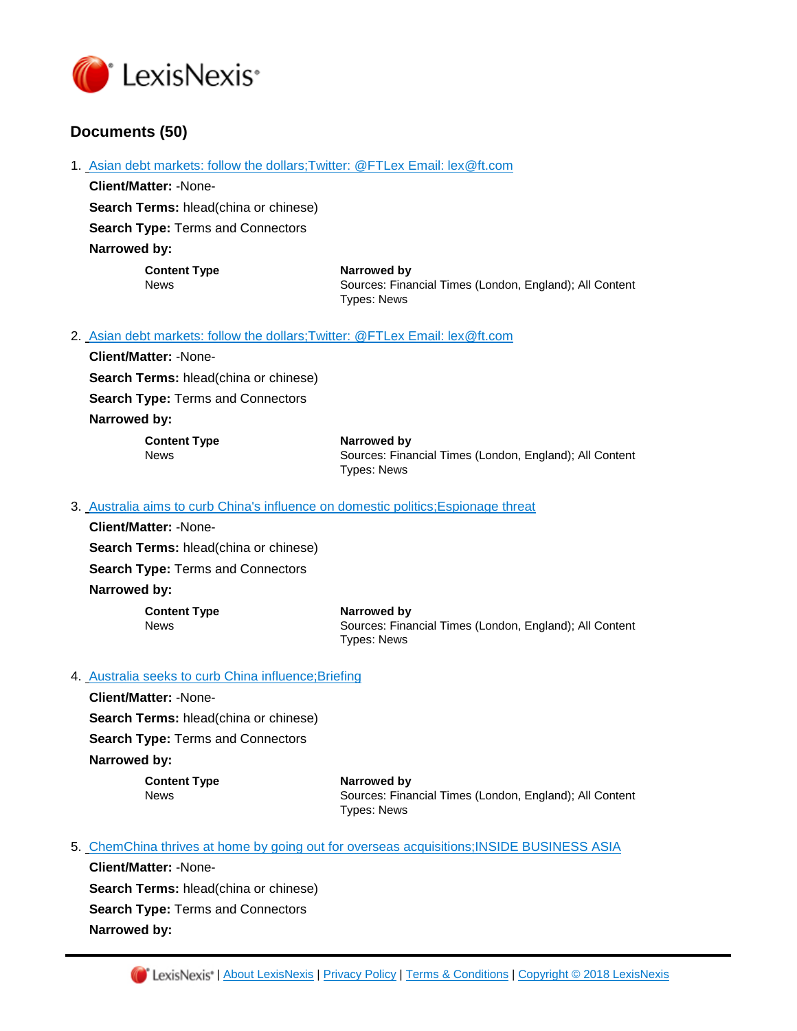

# **Documents (50)**

1. [Asian debt markets: follow the dollars;Twitter: @FTLex Email: lex@ft.com](https://advance.lexis.com/api/document?id=urn:contentItem:5R41-BSF1-DY9P-N2TC-00000-00&idtype=PID&context=1000516)

**Client/Matter:** -None-**Search Terms:** hlead(china or chinese) **Search Type:** Terms and Connectors **Narrowed by: Content Type Narrowed by**

News Sources: Financial Times (London, England); All Content Types: News

2. [Asian debt markets: follow the dollars;Twitter: @FTLex Email: lex@ft.com](https://advance.lexis.com/api/document?id=urn:contentItem:5R41-BSF1-DY9P-N32B-00000-00&idtype=PID&context=1000516)

**Client/Matter:** -None-**Search Terms:** hlead(china or chinese) **Search Type:** Terms and Connectors

## **Narrowed by:**

| <b>Content Type</b> | Narrowed by                                             |
|---------------------|---------------------------------------------------------|
| News                | Sources: Financial Times (London, England); All Content |
|                     | Types: News                                             |

3. [Australia aims to curb China's influence on domestic politics;Espionage threat](https://advance.lexis.com/api/document?id=urn:contentItem:5R41-BSF1-DY9P-N2TS-00000-00&idtype=PID&context=1000516)

**Client/Matter:** -None-**Search Terms:** hlead(china or chinese) **Search Type:** Terms and Connectors **Narrowed by:** 

> **Content Type Narrowed by** News Sources: Financial Times (London, England); All Content Types: News

## 4. Australia seeks to curb China influence; Briefing

**Client/Matter:** -None-**Search Terms:** hlead(china or chinese)

**Search Type:** Terms and Connectors

**Narrowed by:** 

**Content Type <b>Narrowed by**<br>
News **News** Sources: Fina

Sources: Financial Times (London, England); All Content Types: News

5. [ChemChina thrives at home by going out for overseas acquisitions;INSIDE BUSINESS ASIA](https://advance.lexis.com/api/document?id=urn:contentItem:5R41-BSF1-DY9P-N2WX-00000-00&idtype=PID&context=1000516)

**Client/Matter:** -None-**Search Terms:** hlead(china or chinese) **Search Type:** Terms and Connectors **Narrowed by:**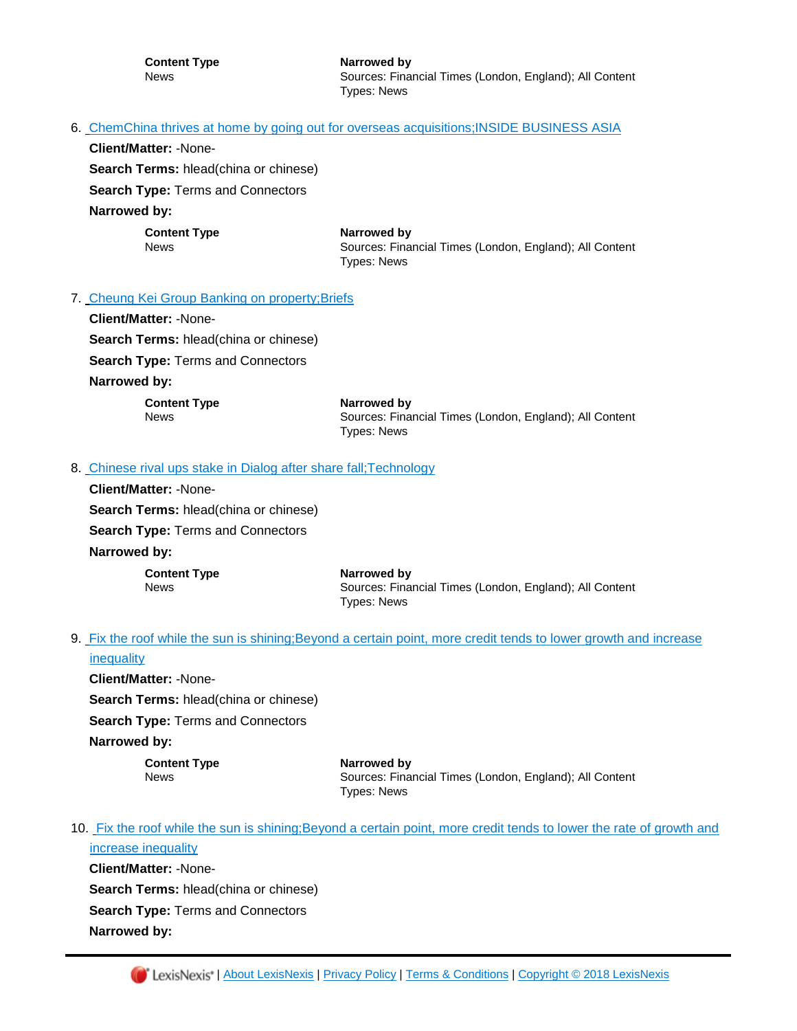#### 6. [ChemChina thrives at home by going out for overseas acquisitions;INSIDE BUSINESS ASIA](https://advance.lexis.com/api/document?id=urn:contentItem:5R41-BSF1-DY9P-N2SY-00000-00&idtype=PID&context=1000516)

**Client/Matter:** -None-

**Search Terms:** hlead(china or chinese)

**Search Type:** Terms and Connectors

**Narrowed by:** 

**Content Type <b>Narrowed** by

News Sources: Financial Times (London, England); All Content Types: News

#### 7. [Cheung Kei Group Banking on property;Briefs](https://advance.lexis.com/api/document?id=urn:contentItem:5R41-BSF1-DY9P-N2X8-00000-00&idtype=PID&context=1000516)

**Client/Matter:** -None-**Search Terms:** hlead(china or chinese) **Search Type:** Terms and Connectors **Narrowed by: Content Type Narrowed by**

News Sources: Financial Times (London, England); All Content Types: News

#### 8. Chinese rival ups stake in Dialog after share fall; Technology

**Client/Matter:** -None-**Search Terms:** hlead(china or chinese) **Search Type:** Terms and Connectors **Narrowed by: Content Type Narrowed by**

News Sources: Financial Times (London, England); All Content Types: News

9. [Fix the roof while the sun is shining;Beyond a certain point, more credit tends to lower growth and increase](https://advance.lexis.com/api/document?id=urn:contentItem:5R41-BSF1-DY9P-N30V-00000-00&idtype=PID&context=1000516)  **[inequality](https://advance.lexis.com/api/document?id=urn:contentItem:5R41-BSF1-DY9P-N30V-00000-00&idtype=PID&context=1000516)** 

**Client/Matter:** -None-**Search Terms:** hlead(china or chinese) **Search Type:** Terms and Connectors **Narrowed by:** 

**Content Type Narrowed by** News Sources: Financial Times (London, England); All Content Types: News

10. Fix the roof while the sun is shining;Beyond a certain point, more credit tends to lower the rate of growth and [increase inequality](https://advance.lexis.com/api/document?id=urn:contentItem:5R41-BSF1-DY9P-N2VM-00000-00&idtype=PID&context=1000516)

**Client/Matter:** -None-**Search Terms:** hlead(china or chinese) **Search Type:** Terms and Connectors **Narrowed by:**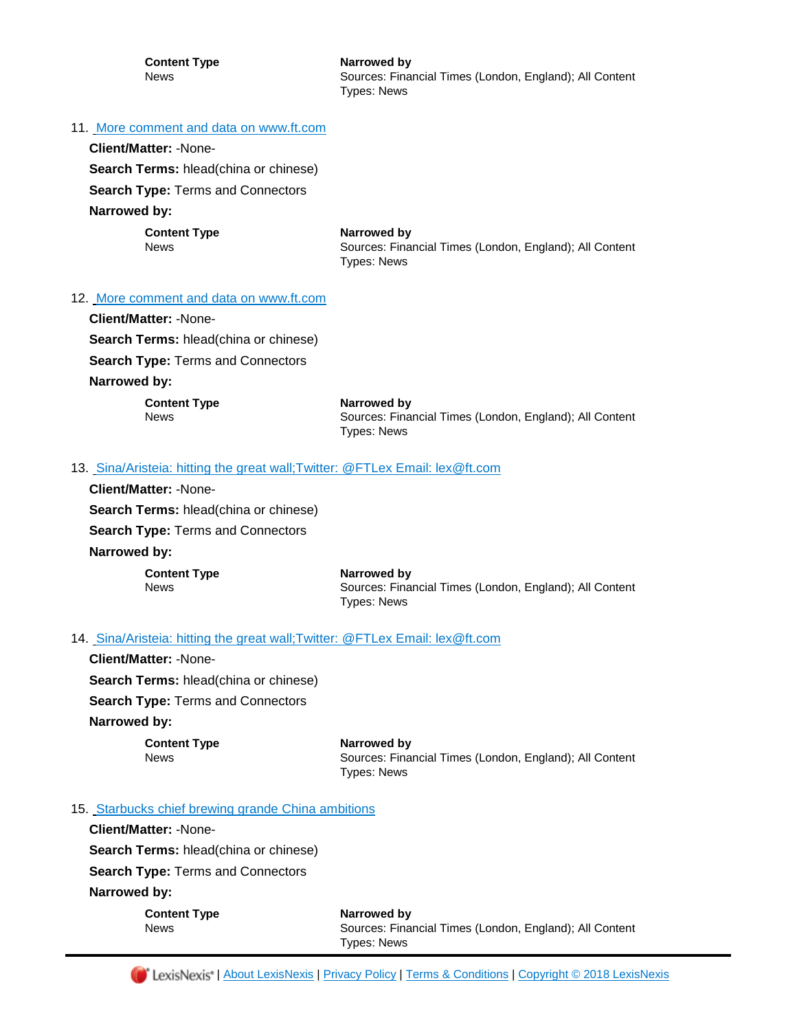**Content Type Narrowed by**

News **News** Sources: Financial Times (London, England); All Content Types: News

#### 11. [More comment and data on www.ft.com](https://advance.lexis.com/api/document?id=urn:contentItem:5R41-BSF1-DY9P-N2XX-00000-00&idtype=PID&context=1000516)

**Client/Matter:** -None-

**Search Terms:** hlead(china or chinese)

**Search Type:** Terms and Connectors

**Narrowed by:** 

**Content Type <b>Narrowed** by

News Sources: Financial Times (London, England); All Content Types: News

#### 12. [More comment and data on www.ft.com](https://advance.lexis.com/api/document?id=urn:contentItem:5R41-BSF1-DY9P-N2T5-00000-00&idtype=PID&context=1000516)

**Client/Matter:** -None-**Search Terms:** hlead(china or chinese) **Search Type:** Terms and Connectors **Narrowed by:** 

> **Content Type Narrowed by** News Sources: Financial Times (London, England); All Content Types: News

#### 13. [S](https://advance.lexis.com/api/document?id=urn:contentItem:5R41-BSF1-DY9P-N2T7-00000-00&idtype=PID&context=1000516)ina/Aristeia: hitting the great wall; Twitter: @FTLex Email: lex@ft.com

**Client/Matter:** -None-**Search Terms:** hlead(china or chinese) **Search Type:** Terms and Connectors **Narrowed by: Content Type Narrowed by**

News Sources: Financial Times (London, England); All Content Types: News

#### 14. [Sina/Aristeia: hitting the great wall;Twitter: @FTLex Email: lex@ft.com](https://advance.lexis.com/api/document?id=urn:contentItem:5R41-BSF1-DY9P-N329-00000-00&idtype=PID&context=1000516)

**Client/Matter:** -None-**Search Terms:** hlead(china or chinese) **Search Type:** Terms and Connectors **Narrowed by:** 

**Content Type Narrowed by**

News Sources: Financial Times (London, England); All Content Types: News

#### 15. [Starbucks chief brewing grande China ambitions](https://advance.lexis.com/api/document?id=urn:contentItem:5R41-BSF1-DY9P-N2SR-00000-00&idtype=PID&context=1000516)

**Client/Matter:** -None-**Search Terms:** hlead(china or chinese)

**Search Type:** Terms and Connectors

**Narrowed by:** 

| <b>Content Type</b> | Narrowed by                                             |
|---------------------|---------------------------------------------------------|
| News                | Sources: Financial Times (London, England); All Content |
|                     | Types: News                                             |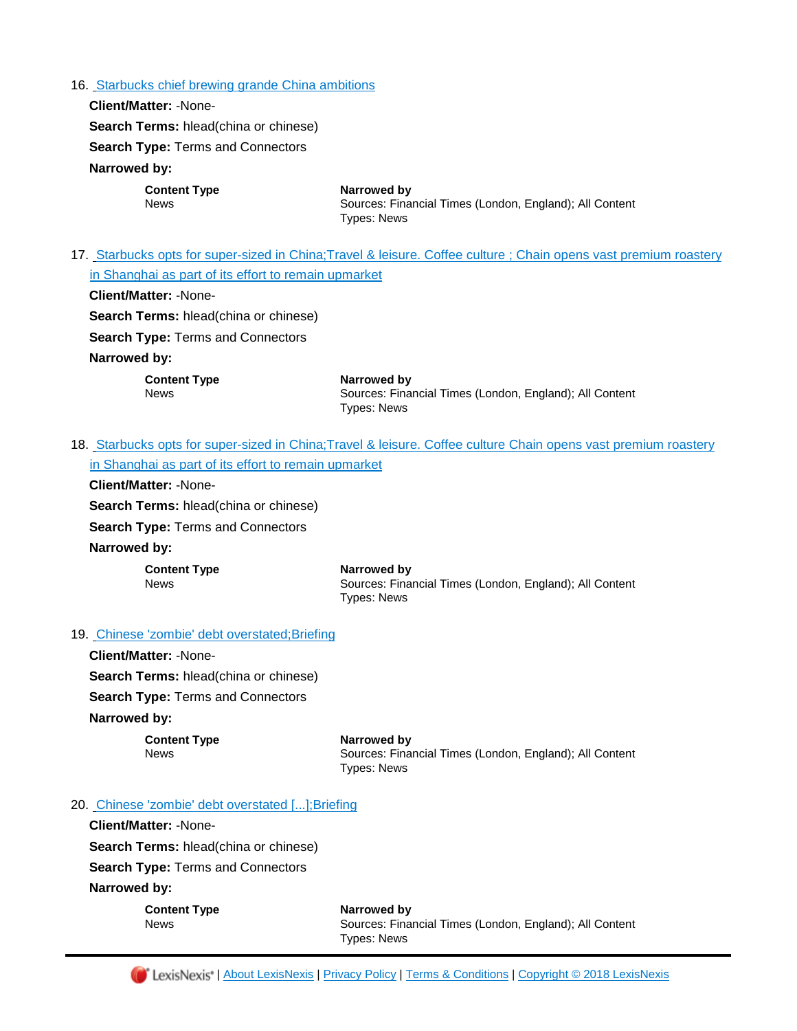#### 16. [Starbucks chief brewing grande China ambitions](https://advance.lexis.com/api/document?id=urn:contentItem:5R41-BSF1-DY9P-N2WP-00000-00&idtype=PID&context=1000516)

**Client/Matter:** -None-**Search Terms:** hlead(china or chinese) **Search Type:** Terms and Connectors **Narrowed by: Content Type Narrowed by** News Sources: Financial Times (London, England); All Content Types: News

17. [S](https://advance.lexis.com/api/document?id=urn:contentItem:5R41-BSF1-DY9P-N2T0-00000-00&idtype=PID&context=1000516)tarbucks opts for super-sized in China; Travel & leisure. Coffee culture ; Chain opens vast premium roastery [in Shanghai as part of its effort to remain upmarket](https://advance.lexis.com/api/document?id=urn:contentItem:5R41-BSF1-DY9P-N2T0-00000-00&idtype=PID&context=1000516)

**Client/Matter:** -None-

**Search Terms:** hlead(china or chinese)

**Search Type:** Terms and Connectors

#### **Narrowed by:**

**Content Type Narrowed by**

News Sources: Financial Times (London, England); All Content Types: News

18. Starbucks opts for super-sized in China; Travel & leisure. Coffee culture Chain opens vast premium roastery [in Shanghai as part of its effort to](https://advance.lexis.com/api/document?id=urn:contentItem:5R41-BSF1-DY9P-N2WY-00000-00&idtype=PID&context=1000516) remain upmarket

**Client/Matter:** -None-

**Search Terms:** hlead(china or chinese)

**Search Type:** Terms and Connectors

**Narrowed by:** 

| <b>Content Type</b> |  |
|---------------------|--|
| <b>News</b>         |  |

**Narrowed by** Sources: Financial Times (London, England); All Content Types: News

19. [Chinese 'zombie' debt overstated;Briefing](https://advance.lexis.com/api/document?id=urn:contentItem:5R3T-DBV1-JBVM-Y0B4-00000-00&idtype=PID&context=1000516)

**Client/Matter:** -None-**Search Terms:** hlead(china or chinese) **Search Type:** Terms and Connectors **Narrowed by:** 

**Content Type Narrowed by** News Sources: Financial Times (London, England); All Content Types: News

20. [Chinese 'zombie' debt overstated \[...\];Briefing](https://advance.lexis.com/api/document?id=urn:contentItem:5R3T-DBV1-JBVM-Y049-00000-00&idtype=PID&context=1000516)

**Client/Matter:** -None-**Search Terms:** hlead(china or chinese) **Search Type:** Terms and Connectors

**Narrowed by:** 

**Content Type Narrowed by**

News Sources: Financial Times (London, England); All Content Types: News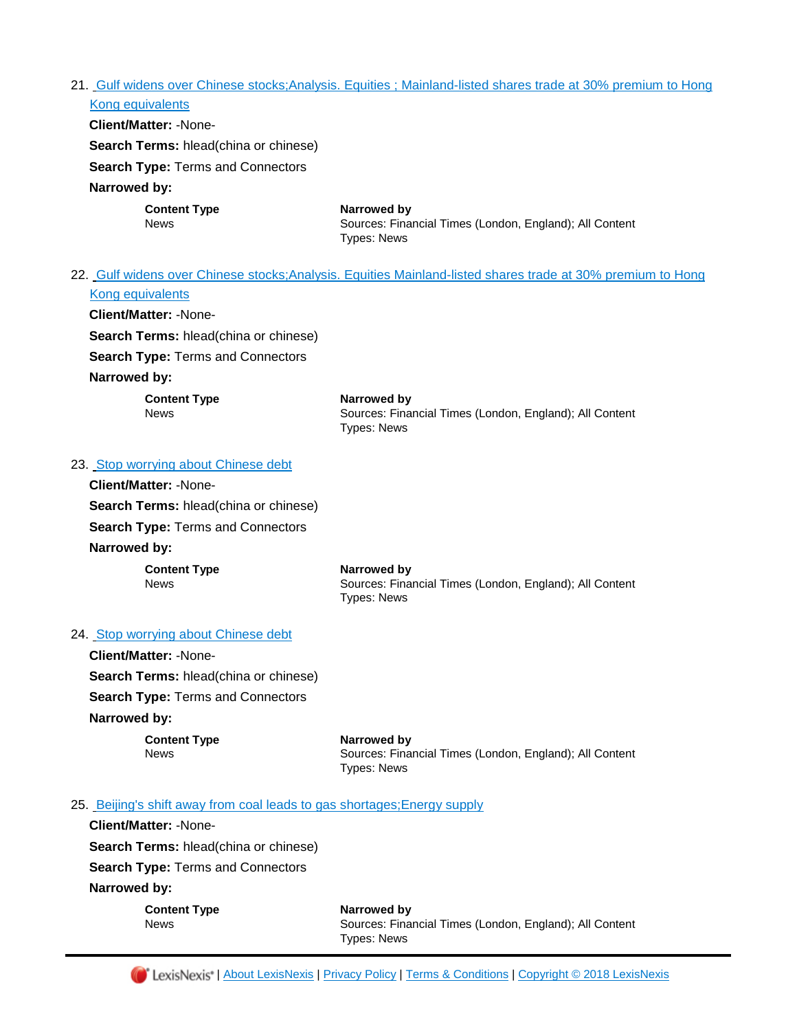## 21. [Gulf widens over Chinese stocks;Analysis. Equities ; Mainland-listed shares trade at 30% premium to Hong](https://advance.lexis.com/api/document?id=urn:contentItem:5R3T-DBV1-JBVM-Y03V-00000-00&idtype=PID&context=1000516)  [Kong equivalents](https://advance.lexis.com/api/document?id=urn:contentItem:5R3T-DBV1-JBVM-Y03V-00000-00&idtype=PID&context=1000516)

| <b>Client/Matter: -None-</b>                 |                                                                                              |
|----------------------------------------------|----------------------------------------------------------------------------------------------|
| <b>Search Terms: hlead(china or chinese)</b> |                                                                                              |
| <b>Search Type: Terms and Connectors</b>     |                                                                                              |
| Narrowed by:                                 |                                                                                              |
| <b>Content Type</b><br><b>News</b>           | Narrowed by<br>Sources: Financial Times (London, England); All Content<br><b>Types: News</b> |

## 22. [Gulf widens over Chinese stocks;Analysis. Equities Mainland-listed shares trade at 30% premium to Hong](https://advance.lexis.com/api/document?id=urn:contentItem:5R3T-DBV1-JBVM-Y068-00000-00&idtype=PID&context=1000516)  [Kong equivalents](https://advance.lexis.com/api/document?id=urn:contentItem:5R3T-DBV1-JBVM-Y068-00000-00&idtype=PID&context=1000516)

**Client/Matter:** -None-**Search Terms:** hlead(china or chinese) **Search Type:** Terms and Connectors

**Narrowed by:** 

**Content Type Narrowed by**

News Sources: Financial Times (London, England); All Content Types: News

## 23. [Stop worrying about Chinese debt](https://advance.lexis.com/api/document?id=urn:contentItem:5R3T-DBV1-JBVM-Y05S-00000-00&idtype=PID&context=1000516)

**Client/Matter:** -None-**Search Terms:** hlead(china or chinese) **Search Type:** Terms and Connectors **Narrowed by:** 

**Content Type Narrowed by** News Sources: Financial Times (London, England); All Content Types: News

## 24. [Stop worrying about Chinese debt](https://advance.lexis.com/api/document?id=urn:contentItem:5R3T-DBV1-JBVM-Y0BW-00000-00&idtype=PID&context=1000516)

**Client/Matter:** -None-**Search Terms:** hlead(china or chinese) **Search Type:** Terms and Connectors **Narrowed by:** 

**Content Type Narrowed by**

News Sources: Financial Times (London, England); All Content Types: News

### 25. [Beijing's shift away from coal leads to gas shortages;Energy supply](https://advance.lexis.com/api/document?id=urn:contentItem:5R3T-DBV1-JBVM-Y058-00000-00&idtype=PID&context=1000516)

**Client/Matter:** -None-**Search Terms:** hlead(china or chinese) **Search Type:** Terms and Connectors **Narrowed by:** 

**Content Type Narrowed by** News Sources: Financial Times (London, England); All Content Types: News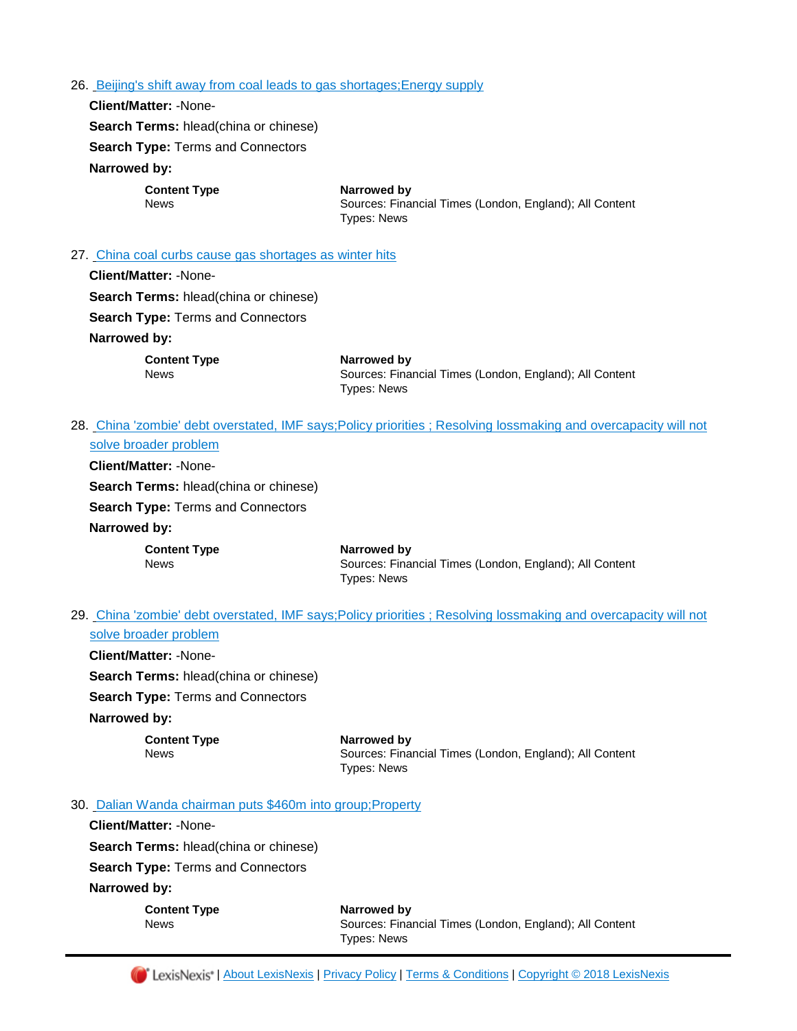#### 26. Beijing's shift away from coal leads to gas shortages; Energy supply

**Client/Matter:** -None-

| <b>Search Terms: hlead(china or chinese)</b>            |                                                                                              |  |  |
|---------------------------------------------------------|----------------------------------------------------------------------------------------------|--|--|
| <b>Search Type: Terms and Connectors</b>                |                                                                                              |  |  |
| Narrowed by:                                            |                                                                                              |  |  |
| <b>Content Type</b><br><b>News</b>                      | Narrowed by<br>Sources: Financial Times (London, England); All Content<br><b>Types: News</b> |  |  |
| 27. China coal curbs cause gas shortages as winter hits |                                                                                              |  |  |
| Client/Matter: -None-                                   |                                                                                              |  |  |
| <b>Search Terms: hlead(china or chinese)</b>            |                                                                                              |  |  |
| <b>Search Type: Terms and Connectors</b>                |                                                                                              |  |  |
| Narrowed by:                                            |                                                                                              |  |  |
| <b>Content Type</b><br><b>News</b>                      | Narrowed by<br>Sources: Financial Times (London, England); All Content<br><b>Types: News</b> |  |  |

# 28. [China 'zombie' debt overstated, IMF says;Policy priorities ; Resolving lossmaking and overcapacity will not](https://advance.lexis.com/api/document?id=urn:contentItem:5R3T-DBV1-JBVM-Y057-00000-00&idtype=PID&context=1000516)  [solve broader problem](https://advance.lexis.com/api/document?id=urn:contentItem:5R3T-DBV1-JBVM-Y057-00000-00&idtype=PID&context=1000516)

**Client/Matter:** -None-**Search Terms:** hlead(china or chinese) **Search Type:** Terms and Connectors **Narrowed by: Content Type Narrowed by** 

News Sources: Financial Times (London, England); All Content Types: News

# 29. China 'zombie' debt overstated, IMF says; Policy priorities ; Resolving lossmaking and overcapacity will not [solve broader problem](https://advance.lexis.com/api/document?id=urn:contentItem:5R3T-DBV1-JBVM-Y09M-00000-00&idtype=PID&context=1000516)

**Client/Matter:** -None-**Search Terms:** hlead(china or chinese) **Search Type:** Terms and Connectors **Narrowed by:** 

> **Content Type Narrowed by** News Sources: Financial Times (London, England); All Content Types: News

### 30. [Dalian Wanda chairman puts \\$460m into group;Property](https://advance.lexis.com/api/document?id=urn:contentItem:5R3T-DBV1-JBVM-Y02G-00000-00&idtype=PID&context=1000516)

**Client/Matter:** -None-**Search Terms:** hlead(china or chinese) **Search Type:** Terms and Connectors **Narrowed by:** 

> **Content Type Narrowed by** News Sources: Financial Times (London, England); All Content Types: News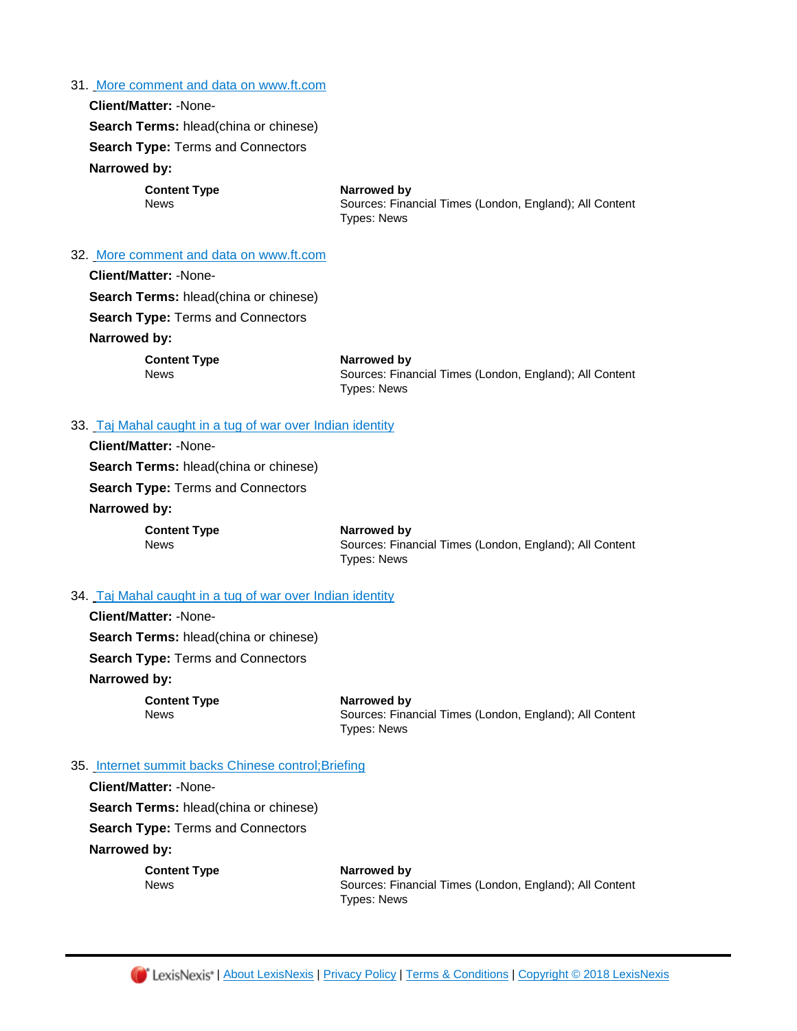#### 31. [More comment and data on www.ft.com](https://advance.lexis.com/api/document?id=urn:contentItem:5R3T-DBV1-JBVM-Y07R-00000-00&idtype=PID&context=1000516)

## **Client/Matter:** -None-

**Search Terms:** hlead(china or chinese)

**Search Type:** Terms and Connectors

# **Narrowed by:**

**Client/Matter:** -None-

**Content Type <b>Content Type Narrowed by**<br>News **Cources:** Final

# Sources: Financial Times (London, England); All Content Types: News

#### 32. [More comment and data on www.ft.com](https://advance.lexis.com/api/document?id=urn:contentItem:5R3T-DBV1-JBVM-Y041-00000-00&idtype=PID&context=1000516)

| <b>Client/Matter: -None-</b>                 |                                                         |
|----------------------------------------------|---------------------------------------------------------|
| <b>Search Terms:</b> hlead(china or chinese) |                                                         |
| <b>Search Type: Terms and Connectors</b>     |                                                         |
| Narrowed by:                                 |                                                         |
| <b>Content Type</b>                          | Narrowed by                                             |
| <b>News</b>                                  | Sources: Financial Times (London, England); All Content |
|                                              | <b>Types: News</b>                                      |
|                                              |                                                         |

## 33. [Taj Mahal caught in a tug of war over Indian identity](https://advance.lexis.com/api/document?id=urn:contentItem:5R3T-DBV1-JBVM-Y05P-00000-00&idtype=PID&context=1000516)

| <b>Client/Matter: -None-</b>                 |                                                                        |
|----------------------------------------------|------------------------------------------------------------------------|
| <b>Search Terms: hlead(china or chinese)</b> |                                                                        |
| <b>Search Type:</b> Terms and Connectors     |                                                                        |
| Narrowed by:                                 |                                                                        |
| <b>Content Type</b><br><b>News</b>           | Narrowed by<br>Sources: Financial Times (London.<br><b>Types: News</b> |

## 34. [Taj Mahal caught in a tug of war over Indian identity](https://advance.lexis.com/api/document?id=urn:contentItem:5R3T-DBV1-JBVM-Y0BP-00000-00&idtype=PID&context=1000516)

**Client/Matter:** -None-**Search Terms:** hlead(china or chinese) **Search Type:** Terms and Connectors **Narrowed by:** 

**Content Type Narrowed by** News Sources: Financial Times (London, England); All Content Types: News

England); All Content

#### 35. Internet summit backs Chinese control; Briefing

**Client/Matter:** -None-

**Search Terms:** hlead(china or chinese)

**Search Type:** Terms and Connectors

**Narrowed by:** 

**Content Type Narrowed by**

News Sources: Financial Times (London, England); All Content Types: News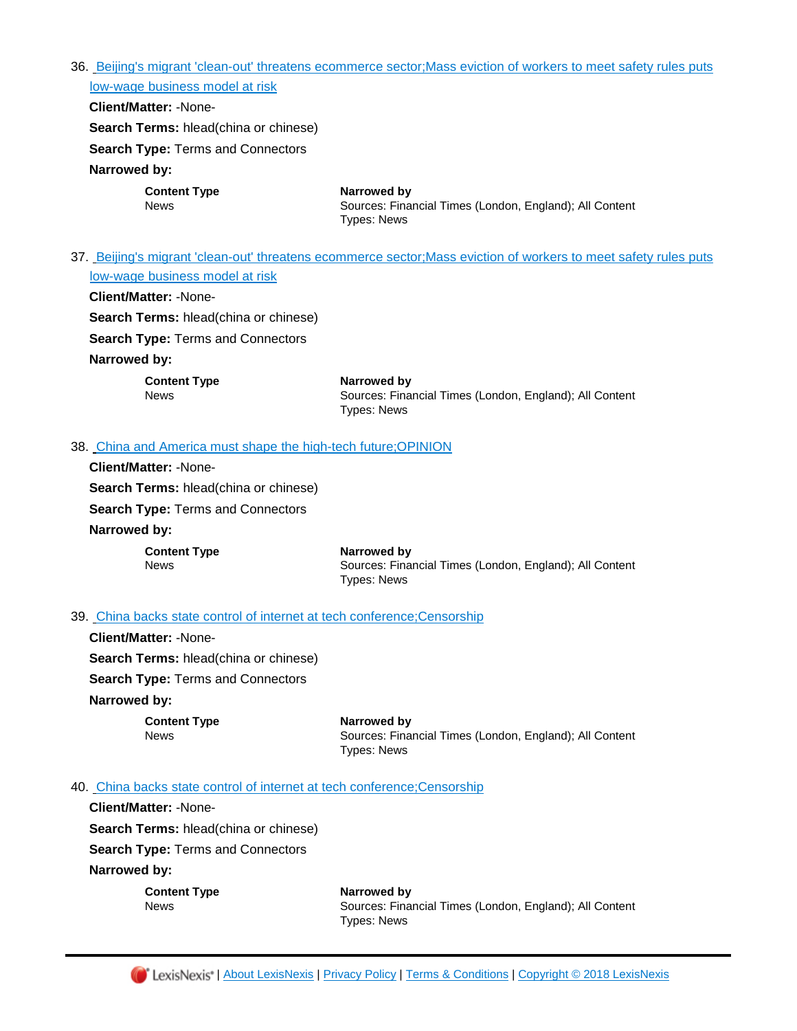36. [Beijing's migrant 'clean-out' threatens ecommerce sector;Mass eviction of workers to meet safety rules puts](https://advance.lexis.com/api/document?id=urn:contentItem:5R3K-DC01-DY9P-N4MG-00000-00&idtype=PID&context=1000516)  [low-wage business model at risk](https://advance.lexis.com/api/document?id=urn:contentItem:5R3K-DC01-DY9P-N4MG-00000-00&idtype=PID&context=1000516)

**Client/Matter:** -None-

**Search Terms:** hlead(china or chinese)

**Search Type:** Terms and Connectors

## **Narrowed by:**

**Content Type Narrowed by**

News Sources: Financial Times (London, England); All Content Types: News

37. [Beijing's migrant 'clean-out' threatens ecommerce sector;Mass eviction of workers to meet safety rules puts](https://advance.lexis.com/api/document?id=urn:contentItem:5R3K-DC01-DY9P-N4F8-00000-00&idtype=PID&context=1000516)  [low-wage business model at risk](https://advance.lexis.com/api/document?id=urn:contentItem:5R3K-DC01-DY9P-N4F8-00000-00&idtype=PID&context=1000516)

#### **Client/Matter:** -None-

**Search Terms:** hlead(china or chinese)

**Search Type:** Terms and Connectors

## **Narrowed by:**

**Content Type Narrowed by** News Sources: Financial Times (London, England); All Content Types: News

## 38. [China and America must shape the high-tech future;OPINION](https://advance.lexis.com/api/document?id=urn:contentItem:5R3K-DC01-DY9P-N4G5-00000-00&idtype=PID&context=1000516)

**Client/Matter:** -None-**Search Terms:** hlead(china or chinese) **Search Type:** Terms and Connectors **Narrowed by: Content Type Narrowed by**

News Sources: Financial Times (London, England); All Content Types: News

## 39. [China backs state control of internet at tech conference;Censorship](https://advance.lexis.com/api/document?id=urn:contentItem:5R3K-DC01-DY9P-N4MD-00000-00&idtype=PID&context=1000516)

**Client/Matter:** -None-**Search Terms:** hlead(china or chinese) **Search Type:** Terms and Connectors **Narrowed by: Content Type Narrowed by** 

News Sources: Financial Times (London, England); All Content Types: News

## 40. China backs state control of internet at tech conference; Censorship

**Client/Matter:** -None-

**Search Terms:** hlead(china or chinese)

**Search Type:** Terms and Connectors

**Narrowed by:** 

**Content Type Narrowed by**

News Sources: Financial Times (London, England); All Content Types: News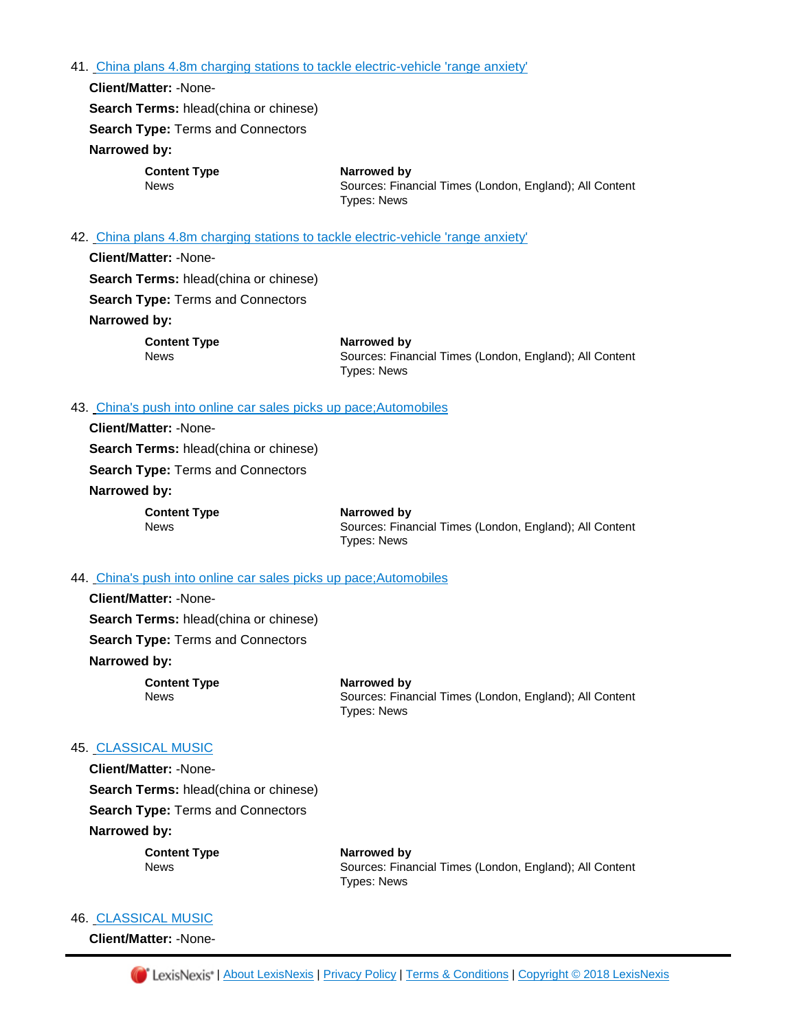41. [China plans 4.8m charging stations to tackle electric-vehicle 'range anxiety'](https://advance.lexis.com/api/document?id=urn:contentItem:5R3K-DC01-DY9P-N4H0-00000-00&idtype=PID&context=1000516)

**Client/Matter:** -None-**Search Terms:** hlead(china or chinese) **Search Type:** Terms and Connectors **Narrowed by:** 

**Content Type <b>Narrowed by**<br>
News **News** Sources: Fina

Sources: Financial Times (London, England); All Content Types: News

#### 42. [China plans 4.8m charging stations to tackle electric-vehicle 'range anxiety'](https://advance.lexis.com/api/document?id=urn:contentItem:5R3K-DC01-DY9P-N4CS-00000-00&idtype=PID&context=1000516)

**Client/Matter:** -None-**Search Terms:** hlead(china or chinese) **Search Type:** Terms and Connectors **Narrowed by:** 

**Content Type Narrowed by** News Sources: Financial Times (London, England); All Content Types: News

### 43. [China's push into online car sales picks up pace;Automobiles](https://advance.lexis.com/api/document?id=urn:contentItem:5R3K-DC01-DY9P-N4C8-00000-00&idtype=PID&context=1000516)

**Client/Matter:** -None-**Search Terms:** hlead(china or chinese) **Search Type:** Terms and Connectors **Narrowed by:** 

**Content Type Narrowed by** News Sources: Financial Times (London, England); All Content Types: News

## 44. [China's push into online car sales picks up pace;Automobiles](https://advance.lexis.com/api/document?id=urn:contentItem:5R3K-DC01-DY9P-N4HK-00000-00&idtype=PID&context=1000516)

**Client/Matter:** -None-**Search Terms:** hlead(china or chinese) **Search Type:** Terms and Connectors

# **Narrowed by:**

**Content Type Narrowed by**

News Sources: Financial Times (London, England); All Content Types: News

# 45. [CLASSICAL MUSIC](https://advance.lexis.com/api/document?id=urn:contentItem:5R3K-DC01-DY9P-N4KH-00000-00&idtype=PID&context=1000516)

**Client/Matter:** -None-**Search Terms:** hlead(china or chinese) **Search Type:** Terms and Connectors **Narrowed by:** 

**Content Type Narrowed by** News Sources: Financial Times (London, England); All Content Types: News

#### 46. [CLASSICAL MUSIC](https://advance.lexis.com/api/document?id=urn:contentItem:5R3K-DC01-DY9P-N4F4-00000-00&idtype=PID&context=1000516)

**Client/Matter:** -None-